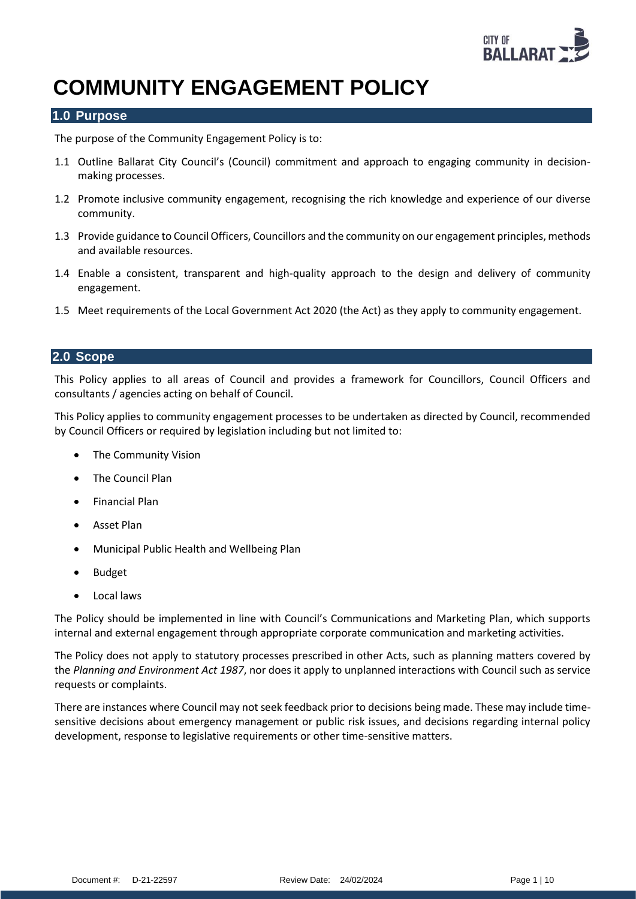

# **COMMUNITY ENGAGEMENT POLICY**

### **1.0 Purpose**

The purpose of the Community Engagement Policy is to:

- 1.1 Outline Ballarat City Council's (Council) commitment and approach to engaging community in decisionmaking processes.
- 1.2 Promote inclusive community engagement, recognising the rich knowledge and experience of our diverse community.
- 1.3 Provide guidance to Council Officers, Councillors and the community on our engagement principles, methods and available resources.
- 1.4 Enable a consistent, transparent and high-quality approach to the design and delivery of community engagement.
- 1.5 Meet requirements of the Local Government Act 2020 (the Act) as they apply to community engagement.

#### **2.0 Scope**

This Policy applies to all areas of Council and provides a framework for Councillors, Council Officers and consultants / agencies acting on behalf of Council.

This Policy applies to community engagement processes to be undertaken as directed by Council, recommended by Council Officers or required by legislation including but not limited to:

- The Community Vision
- The Council Plan
- Financial Plan
- Asset Plan
- Municipal Public Health and Wellbeing Plan
- Budget
- Local laws

The Policy should be implemented in line with Council's Communications and Marketing Plan, which supports internal and external engagement through appropriate corporate communication and marketing activities.

The Policy does not apply to statutory processes prescribed in other Acts, such as planning matters covered by the *Planning and Environment Act 1987*, nor does it apply to unplanned interactions with Council such as service requests or complaints.

There are instances where Council may not seek feedback prior to decisions being made. These may include timesensitive decisions about emergency management or public risk issues, and decisions regarding internal policy development, response to legislative requirements or other time-sensitive matters.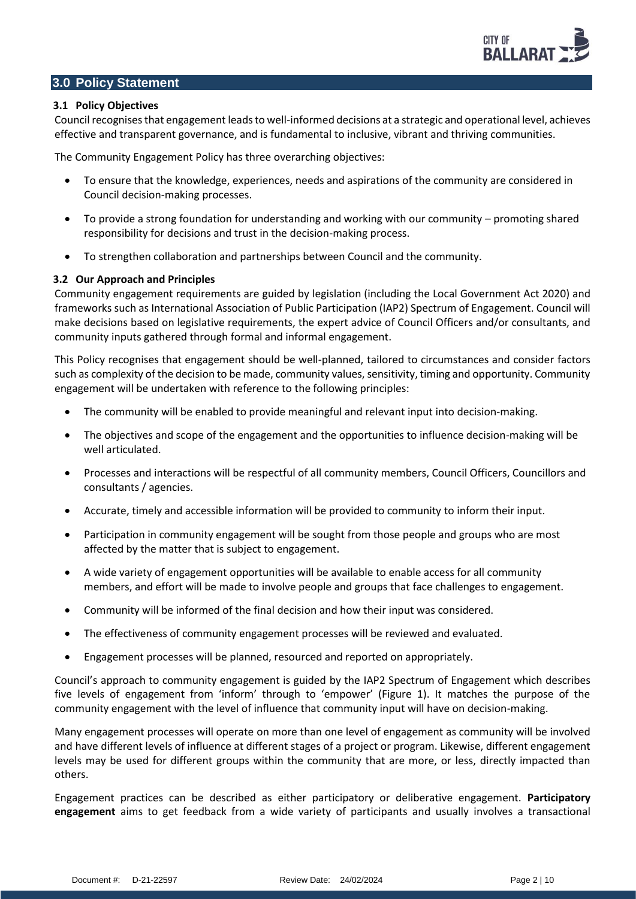### **3.0 Policy Statement**

#### **3.1 Policy Objectives**

Council recognises that engagement leads to well-informed decisions at a strategic and operational level, achieves effective and transparent governance, and is fundamental to inclusive, vibrant and thriving communities.

The Community Engagement Policy has three overarching objectives:

- To ensure that the knowledge, experiences, needs and aspirations of the community are considered in Council decision-making processes.
- To provide a strong foundation for understanding and working with our community promoting shared responsibility for decisions and trust in the decision-making process.
- To strengthen collaboration and partnerships between Council and the community.

#### **3.2 Our Approach and Principles**

Community engagement requirements are guided by legislation (including the Local Government Act 2020) and frameworks such as International Association of Public Participation (IAP2) Spectrum of Engagement. Council will make decisions based on legislative requirements, the expert advice of Council Officers and/or consultants, and community inputs gathered through formal and informal engagement.

This Policy recognises that engagement should be well-planned, tailored to circumstances and consider factors such as complexity of the decision to be made, community values, sensitivity, timing and opportunity. Community engagement will be undertaken with reference to the following principles:

- The community will be enabled to provide meaningful and relevant input into decision-making.
- The objectives and scope of the engagement and the opportunities to influence decision-making will be well articulated.
- Processes and interactions will be respectful of all community members, Council Officers, Councillors and consultants / agencies.
- Accurate, timely and accessible information will be provided to community to inform their input.
- Participation in community engagement will be sought from those people and groups who are most affected by the matter that is subject to engagement.
- A wide variety of engagement opportunities will be available to enable access for all community members, and effort will be made to involve people and groups that face challenges to engagement.
- Community will be informed of the final decision and how their input was considered.
- The effectiveness of community engagement processes will be reviewed and evaluated.
- Engagement processes will be planned, resourced and reported on appropriately.

Council's approach to community engagement is guided by the IAP2 Spectrum of Engagement which describes five levels of engagement from 'inform' through to 'empower' (Figure 1). It matches the purpose of the community engagement with the level of influence that community input will have on decision-making.

Many engagement processes will operate on more than one level of engagement as community will be involved and have different levels of influence at different stages of a project or program. Likewise, different engagement levels may be used for different groups within the community that are more, or less, directly impacted than others.

Engagement practices can be described as either participatory or deliberative engagement. **Participatory engagement** aims to get feedback from a wide variety of participants and usually involves a transactional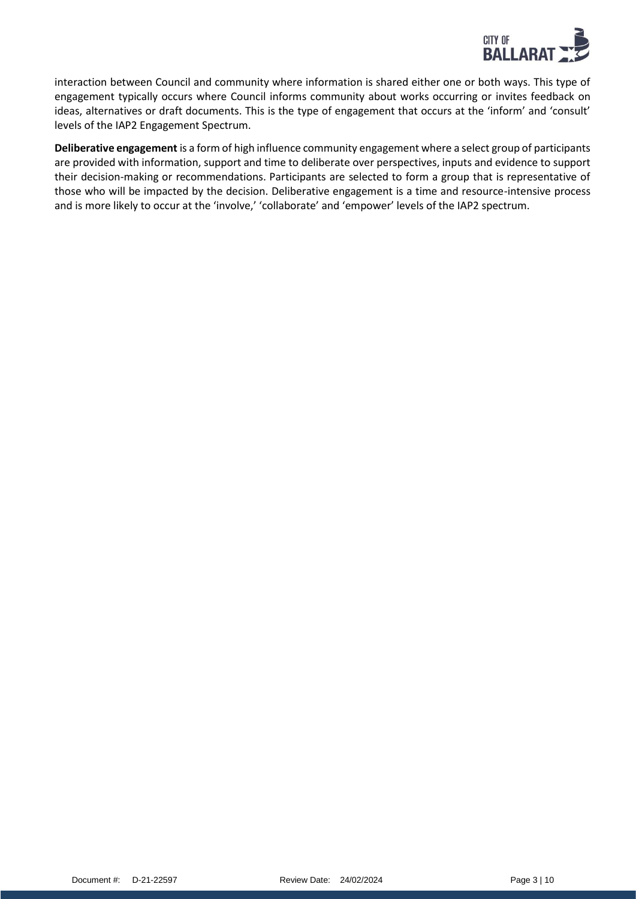

interaction between Council and community where information is shared either one or both ways. This type of engagement typically occurs where Council informs community about works occurring or invites feedback on ideas, alternatives or draft documents. This is the type of engagement that occurs at the 'inform' and 'consult' levels of the IAP2 Engagement Spectrum.

**Deliberative engagement** is a form of high influence community engagement where a select group of participants are provided with information, support and time to deliberate over perspectives, inputs and evidence to support their decision-making or recommendations. Participants are selected to form a group that is representative of those who will be impacted by the decision. Deliberative engagement is a time and resource-intensive process and is more likely to occur at the 'involve,' 'collaborate' and 'empower' levels of the IAP2 spectrum.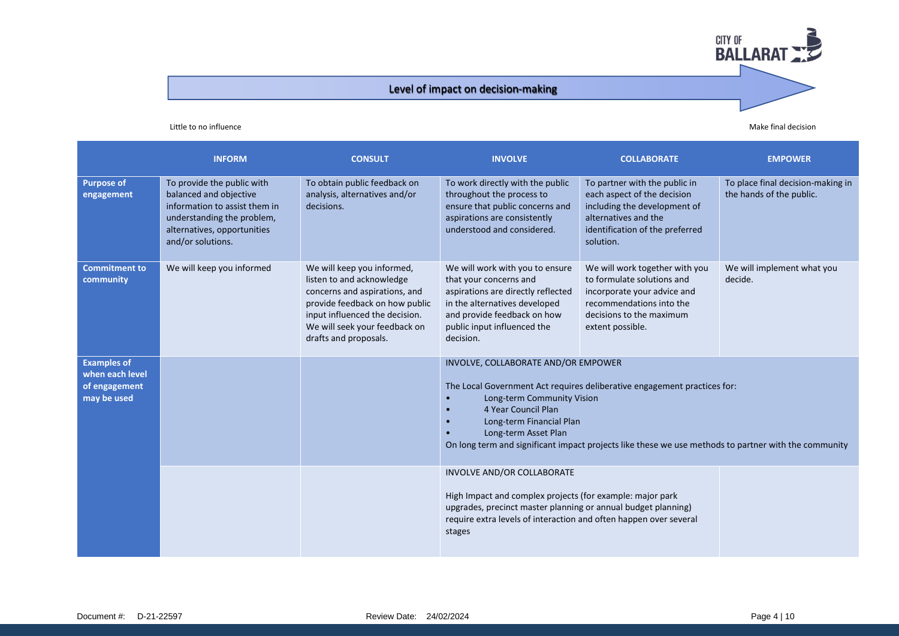### Level of impact on decision-making

#### Little to no influence **Make final decision** Make final decision

|                                                                       | <b>INFORM</b>                                                                                                                                                           | <b>CONSULT</b>                                                                                                                                                                                                         | <b>INVOLVE</b>                                                                                                                                                                                                                          | <b>COLLABORATE</b>                                                                                                                                                      | <b>EMPOWER</b>                                                |
|-----------------------------------------------------------------------|-------------------------------------------------------------------------------------------------------------------------------------------------------------------------|------------------------------------------------------------------------------------------------------------------------------------------------------------------------------------------------------------------------|-----------------------------------------------------------------------------------------------------------------------------------------------------------------------------------------------------------------------------------------|-------------------------------------------------------------------------------------------------------------------------------------------------------------------------|---------------------------------------------------------------|
| <b>Purpose of</b><br>engagement                                       | To provide the public with<br>balanced and objective<br>information to assist them in<br>understanding the problem,<br>alternatives, opportunities<br>and/or solutions. | To obtain public feedback on<br>analysis, alternatives and/or<br>decisions.                                                                                                                                            | To work directly with the public<br>throughout the process to<br>ensure that public concerns and<br>aspirations are consistently<br>understood and considered.                                                                          | To partner with the public in<br>each aspect of the decision<br>including the development of<br>alternatives and the<br>identification of the preferred<br>solution.    | To place final decision-making in<br>the hands of the public. |
| <b>Commitment to</b><br>community                                     | We will keep you informed                                                                                                                                               | We will keep you informed,<br>listen to and acknowledge<br>concerns and aspirations, and<br>provide feedback on how public<br>input influenced the decision.<br>We will seek your feedback on<br>drafts and proposals. | We will work with you to ensure<br>that your concerns and<br>aspirations are directly reflected<br>in the alternatives developed<br>and provide feedback on how<br>public input influenced the<br>decision.                             | We will work together with you<br>to formulate solutions and<br>incorporate your advice and<br>recommendations into the<br>decisions to the maximum<br>extent possible. | We will implement what you<br>decide.                         |
| <b>Examples of</b><br>when each level<br>of engagement<br>may be used |                                                                                                                                                                         | INVOLVE, COLLABORATE AND/OR EMPOWER<br>Long-term Community Vision<br>4 Year Council Plan<br>Long-term Financial Plan<br>Long-term Asset Plan                                                                           | The Local Government Act requires deliberative engagement practices for:<br>On long term and significant impact projects like these we use methods to partner with the community                                                        |                                                                                                                                                                         |                                                               |
|                                                                       |                                                                                                                                                                         |                                                                                                                                                                                                                        | INVOLVE AND/OR COLLABORATE<br>High Impact and complex projects (for example: major park<br>upgrades, precinct master planning or annual budget planning)<br>require extra levels of interaction and often happen over several<br>stages |                                                                                                                                                                         |                                                               |

**CITY OF BALLARAT**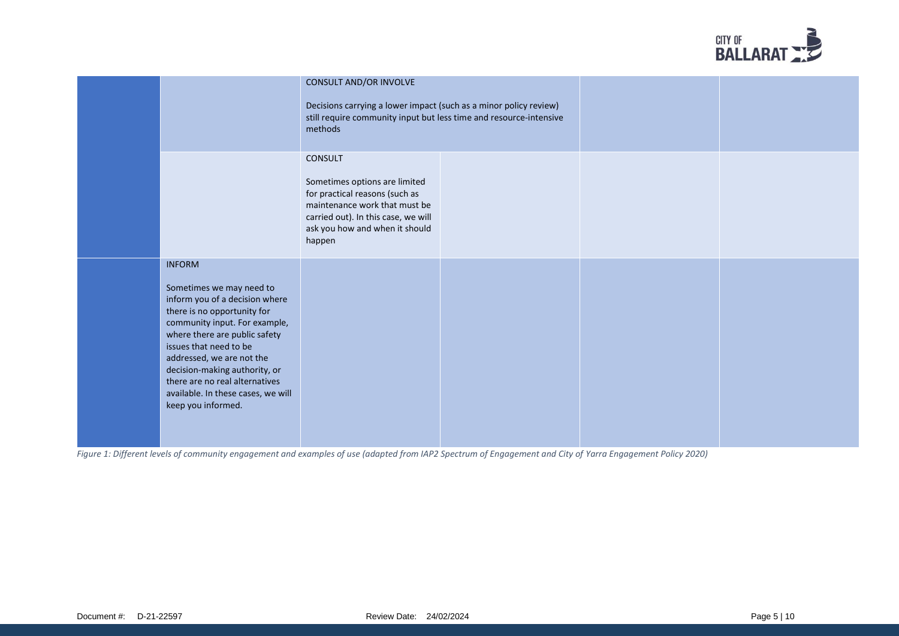

|                                                                                                                                                                                                                                                                                                                                                                    | CONSULT AND/OR INVOLVE<br>Decisions carrying a lower impact (such as a minor policy review)<br>still require community input but less time and resource-intensive<br>methods                          |  |  |
|--------------------------------------------------------------------------------------------------------------------------------------------------------------------------------------------------------------------------------------------------------------------------------------------------------------------------------------------------------------------|-------------------------------------------------------------------------------------------------------------------------------------------------------------------------------------------------------|--|--|
|                                                                                                                                                                                                                                                                                                                                                                    | <b>CONSULT</b><br>Sometimes options are limited<br>for practical reasons (such as<br>maintenance work that must be<br>carried out). In this case, we will<br>ask you how and when it should<br>happen |  |  |
| <b>INFORM</b><br>Sometimes we may need to<br>inform you of a decision where<br>there is no opportunity for<br>community input. For example,<br>where there are public safety<br>issues that need to be<br>addressed, we are not the<br>decision-making authority, or<br>there are no real alternatives<br>available. In these cases, we will<br>keep you informed. |                                                                                                                                                                                                       |  |  |

*Figure 1: Different levels of community engagement and examples of use (adapted from IAP2 Spectrum of Engagement and City of Yarra Engagement Policy 2020)*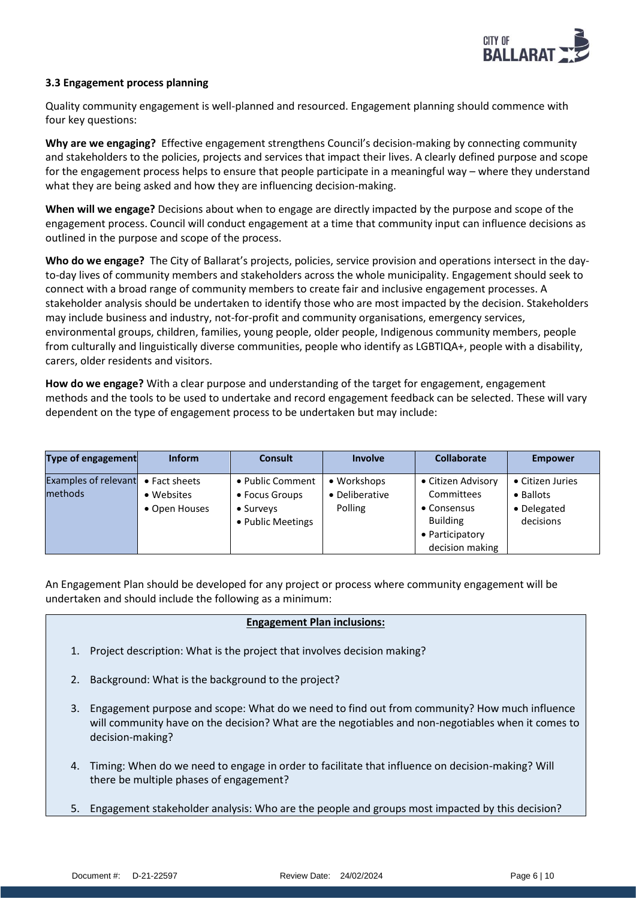

#### **3.3 Engagement process planning**

Quality community engagement is well-planned and resourced. Engagement planning should commence with four key questions:

**Why are we engaging?** Effective engagement strengthens Council's decision-making by connecting community and stakeholders to the policies, projects and services that impact their lives. A clearly defined purpose and scope for the engagement process helps to ensure that people participate in a meaningful way – where they understand what they are being asked and how they are influencing decision-making.

**When will we engage?** Decisions about when to engage are directly impacted by the purpose and scope of the engagement process. Council will conduct engagement at a time that community input can influence decisions as outlined in the purpose and scope of the process.

**Who do we engage?** The City of Ballarat's projects, policies, service provision and operations intersect in the dayto-day lives of community members and stakeholders across the whole municipality. Engagement should seek to connect with a broad range of community members to create fair and inclusive engagement processes. A stakeholder analysis should be undertaken to identify those who are most impacted by the decision. Stakeholders may include business and industry, not-for-profit and community organisations, emergency services, environmental groups, children, families, young people, older people, Indigenous community members, people from culturally and linguistically diverse communities, people who identify as LGBTIQA+, people with a disability, carers, older residents and visitors.

**How do we engage?** With a clear purpose and understanding of the target for engagement, engagement methods and the tools to be used to undertake and record engagement feedback can be selected. These will vary dependent on the type of engagement process to be undertaken but may include:

| Type of engagement                     | <b>Inform</b>                                        | <b>Consult</b>                                                       | <b>Involve</b>                           | <b>Collaborate</b>                                                                                       | <b>Empower</b>                                            |
|----------------------------------------|------------------------------------------------------|----------------------------------------------------------------------|------------------------------------------|----------------------------------------------------------------------------------------------------------|-----------------------------------------------------------|
| <b>Examples of relevant</b><br>methods | $\bullet$ Fact sheets<br>• Websites<br>• Open Houses | • Public Comment<br>• Focus Groups<br>• Surveys<br>• Public Meetings | • Workshops<br>• Deliberative<br>Polling | • Citizen Advisory<br>Committees<br>• Consensus<br><b>Building</b><br>• Participatory<br>decision making | • Citizen Juries<br>• Ballots<br>• Delegated<br>decisions |

An Engagement Plan should be developed for any project or process where community engagement will be undertaken and should include the following as a minimum:

#### **Engagement Plan inclusions:**

- 1. Project description: What is the project that involves decision making?
- 2. Background: What is the background to the project?
- 3. Engagement purpose and scope: What do we need to find out from community? How much influence will community have on the decision? What are the negotiables and non-negotiables when it comes to decision-making?
- 4. Timing: When do we need to engage in order to facilitate that influence on decision-making? Will there be multiple phases of engagement?
- 5. Engagement stakeholder analysis: Who are the people and groups most impacted by this decision?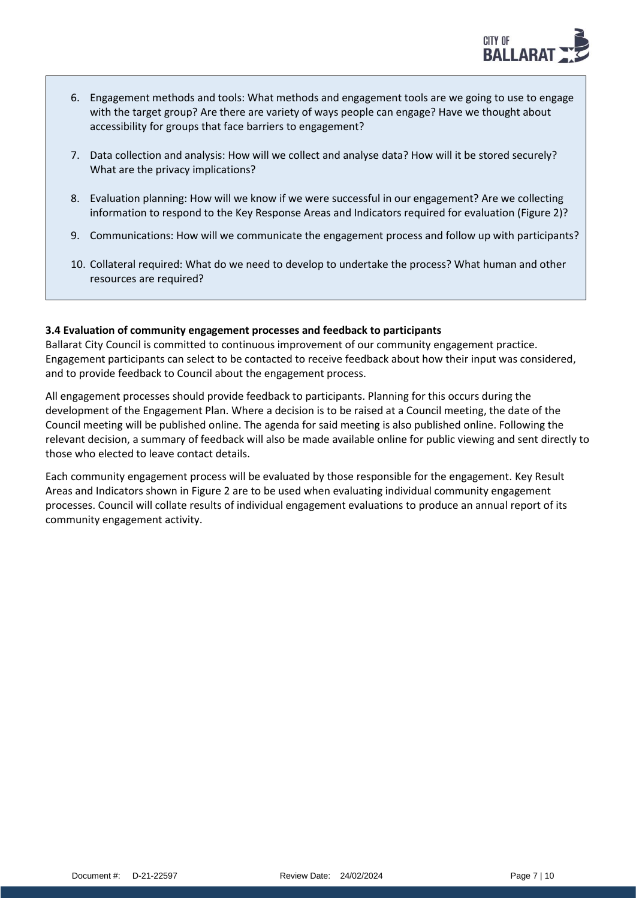

- 6. Engagement methods and tools: What methods and engagement tools are we going to use to engage with the target group? Are there are variety of ways people can engage? Have we thought about accessibility for groups that face barriers to engagement?
- 7. Data collection and analysis: How will we collect and analyse data? How will it be stored securely? What are the privacy implications?
- 8. Evaluation planning: How will we know if we were successful in our engagement? Are we collecting information to respond to the Key Response Areas and Indicators required for evaluation (Figure 2)?
- 9. Communications: How will we communicate the engagement process and follow up with participants?
- 10. Collateral required: What do we need to develop to undertake the process? What human and other resources are required?

#### **3.4 Evaluation of community engagement processes and feedback to participants**

Ballarat City Council is committed to continuous improvement of our community engagement practice. Engagement participants can select to be contacted to receive feedback about how their input was considered, and to provide feedback to Council about the engagement process.

All engagement processes should provide feedback to participants. Planning for this occurs during the development of the Engagement Plan. Where a decision is to be raised at a Council meeting, the date of the Council meeting will be published online. The agenda for said meeting is also published online. Following the relevant decision, a summary of feedback will also be made available online for public viewing and sent directly to those who elected to leave contact details.

Each community engagement process will be evaluated by those responsible for the engagement. Key Result Areas and Indicators shown in Figure 2 are to be used when evaluating individual community engagement processes. Council will collate results of individual engagement evaluations to produce an annual report of its community engagement activity.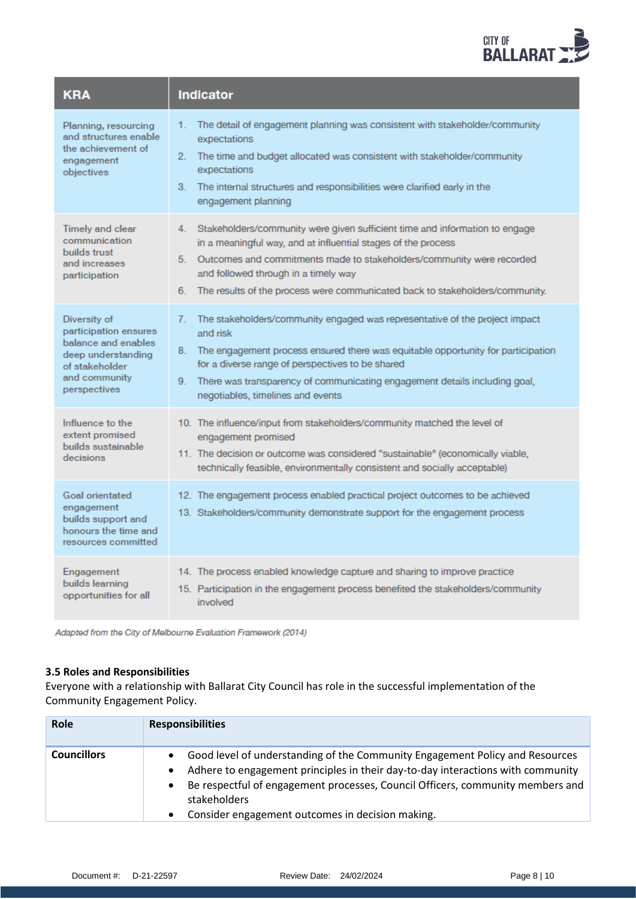

| <b>KRA</b>                                                                                                                            | <b>Indicator</b>                                                                                                                                                                                                                                                                                                                                                     |
|---------------------------------------------------------------------------------------------------------------------------------------|----------------------------------------------------------------------------------------------------------------------------------------------------------------------------------------------------------------------------------------------------------------------------------------------------------------------------------------------------------------------|
| Planning, resourcing<br>and structures enable<br>the achievement of<br>engagement<br>objectives                                       | The detail of engagement planning was consistent with stakeholder/community<br>1.<br>expectations<br>The time and budget allocated was consistent with stakeholder/community<br>2.<br>expectations<br>3. The internal structures and responsibilities were clarified early in the<br>engagement planning                                                             |
| <b>Timely and clear</b><br>communication<br>builds trust<br>and increases<br>participation                                            | Stakeholders/community were given sufficient time and information to engage<br>4.<br>in a meaningful way, and at influential stages of the process<br>5. Outcomes and commitments made to stakeholders/community were recorded<br>and followed through in a timely way<br>6. The results of the process were communicated back to stakeholders/community.            |
| Diversity of<br>participation ensures<br>balance and enables<br>deep understanding<br>of stakeholder<br>and community<br>perspectives | The stakeholders/community engaged was representative of the project impact<br>7.<br>and risk<br>The engagement process ensured there was equitable opportunity for participation<br>8.<br>for a diverse range of perspectives to be shared<br>There was transparency of communicating engagement details including goal,<br>9.<br>negotiables, timelines and events |
| Influence to the<br>extent promised<br>builds sustainable<br>decisions                                                                | 10. The influence/input from stakeholders/community matched the level of<br>engagement promised<br>11. The decision or outcome was considered "sustainable" (economically viable,<br>technically feasible, environmentally consistent and socially acceptable)                                                                                                       |
| Goal orientated<br>engagement<br>builds support and<br>honours the time and<br>resources committed                                    | 12. The engagement process enabled practical project outcomes to be achieved<br>13. Stakeholders/community demonstrate support for the engagement process                                                                                                                                                                                                            |
| Engagement<br>builds learning<br>opportunities for all                                                                                | 14. The process enabled knowledge capture and sharing to improve practice<br>15. Participation in the engagement process benefited the stakeholders/community<br>involved                                                                                                                                                                                            |

Adapted from the City of Melbourne Evaluation Framework (2014)

#### **3.5 Roles and Responsibilities**

Everyone with a relationship with Ballarat City Council has role in the successful implementation of the Community Engagement Policy.

| Role               | <b>Responsibilities</b>                                                                                                                                                                                                                                                                                               |
|--------------------|-----------------------------------------------------------------------------------------------------------------------------------------------------------------------------------------------------------------------------------------------------------------------------------------------------------------------|
| <b>Councillors</b> | Good level of understanding of the Community Engagement Policy and Resources<br>Adhere to engagement principles in their day-to-day interactions with community<br>Be respectful of engagement processes, Council Officers, community members and<br>stakeholders<br>Consider engagement outcomes in decision making. |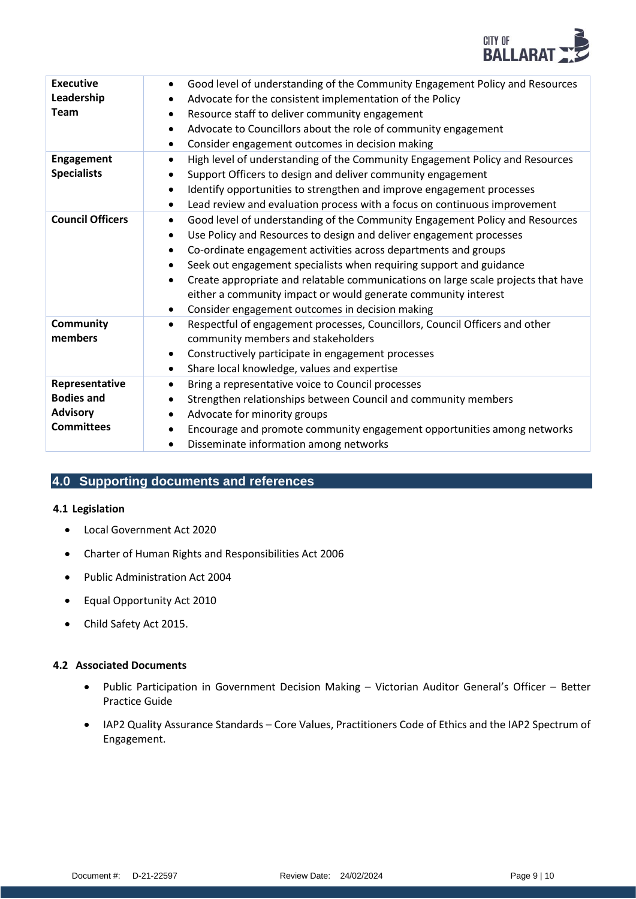

| <b>Executive</b><br>Leadership<br><b>Team</b>                               | Good level of understanding of the Community Engagement Policy and Resources<br>Advocate for the consistent implementation of the Policy<br>Resource staff to deliver community engagement<br>Advocate to Councillors about the role of community engagement<br>$\bullet$<br>Consider engagement outcomes in decision making<br>$\bullet$                                                                                                                                                                                                                   |
|-----------------------------------------------------------------------------|-------------------------------------------------------------------------------------------------------------------------------------------------------------------------------------------------------------------------------------------------------------------------------------------------------------------------------------------------------------------------------------------------------------------------------------------------------------------------------------------------------------------------------------------------------------|
| <b>Engagement</b><br><b>Specialists</b>                                     | High level of understanding of the Community Engagement Policy and Resources<br>$\bullet$<br>Support Officers to design and deliver community engagement<br>Identify opportunities to strengthen and improve engagement processes<br>$\bullet$<br>Lead review and evaluation process with a focus on continuous improvement<br>$\bullet$                                                                                                                                                                                                                    |
| <b>Council Officers</b>                                                     | Good level of understanding of the Community Engagement Policy and Resources<br>$\bullet$<br>Use Policy and Resources to design and deliver engagement processes<br>$\bullet$<br>Co-ordinate engagement activities across departments and groups<br>$\bullet$<br>Seek out engagement specialists when requiring support and guidance<br>Create appropriate and relatable communications on large scale projects that have<br>either a community impact or would generate community interest<br>Consider engagement outcomes in decision making<br>$\bullet$ |
| Community<br>members                                                        | Respectful of engagement processes, Councillors, Council Officers and other<br>$\bullet$<br>community members and stakeholders<br>Constructively participate in engagement processes<br>Share local knowledge, values and expertise<br>$\bullet$                                                                                                                                                                                                                                                                                                            |
| Representative<br><b>Bodies and</b><br><b>Advisory</b><br><b>Committees</b> | Bring a representative voice to Council processes<br>Strengthen relationships between Council and community members<br>Advocate for minority groups<br>Encourage and promote community engagement opportunities among networks<br>$\bullet$<br>Disseminate information among networks                                                                                                                                                                                                                                                                       |

## **4.0 Supporting documents and references**

#### **4.1 Legislation**

- Local Government Act 2020
- Charter of Human Rights and Responsibilities Act 2006
- Public Administration Act 2004
- Equal Opportunity Act 2010
- Child Safety Act 2015.

#### **4.2 Associated Documents**

- Public Participation in Government Decision Making Victorian Auditor General's Officer Better Practice Guide
- IAP2 Quality Assurance Standards Core Values, Practitioners Code of Ethics and the IAP2 Spectrum of Engagement.